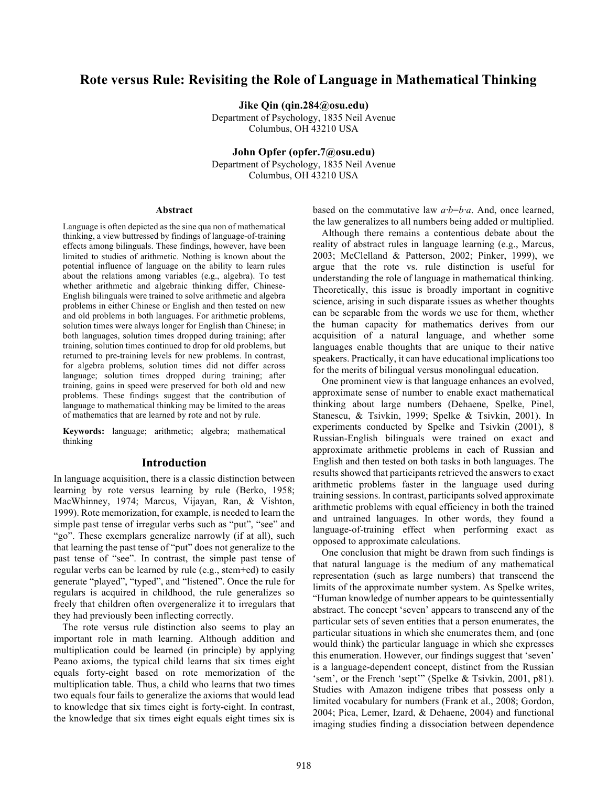# **Rote versus Rule: Revisiting the Role of Language in Mathematical Thinking**

**Jike Qin (qin.284@osu.edu)**

Department of Psychology, 1835 Neil Avenue Columbus, OH 43210 USA

**John Opfer (opfer.7@osu.edu)** Department of Psychology, 1835 Neil Avenue Columbus, OH 43210 USA

#### **Abstract**

Language is often depicted as the sine qua non of mathematical thinking, a view buttressed by findings of language-of-training effects among bilinguals. These findings, however, have been limited to studies of arithmetic. Nothing is known about the potential influence of language on the ability to learn rules about the relations among variables (e.g., algebra). To test whether arithmetic and algebraic thinking differ, Chinese-English bilinguals were trained to solve arithmetic and algebra problems in either Chinese or English and then tested on new and old problems in both languages. For arithmetic problems, solution times were always longer for English than Chinese; in both languages, solution times dropped during training; after training, solution times continued to drop for old problems, but returned to pre-training levels for new problems. In contrast, for algebra problems, solution times did not differ across language; solution times dropped during training; after training, gains in speed were preserved for both old and new problems. These findings suggest that the contribution of language to mathematical thinking may be limited to the areas of mathematics that are learned by rote and not by rule.

**Keywords:** language; arithmetic; algebra; mathematical thinking

#### **Introduction**

In language acquisition, there is a classic distinction between learning by rote versus learning by rule (Berko, 1958; MacWhinney, 1974; Marcus, Vijayan, Ran, & Vishton, 1999). Rote memorization, for example, is needed to learn the simple past tense of irregular verbs such as "put", "see" and "go". These exemplars generalize narrowly (if at all), such that learning the past tense of "put" does not generalize to the past tense of "see". In contrast, the simple past tense of regular verbs can be learned by rule (e.g., stem+ed) to easily generate "played", "typed", and "listened". Once the rule for regulars is acquired in childhood, the rule generalizes so freely that children often overgeneralize it to irregulars that they had previously been inflecting correctly.

The rote versus rule distinction also seems to play an important role in math learning. Although addition and multiplication could be learned (in principle) by applying Peano axioms, the typical child learns that six times eight equals forty-eight based on rote memorization of the multiplication table. Thus, a child who learns that two times two equals four fails to generalize the axioms that would lead to knowledge that six times eight is forty-eight. In contrast, the knowledge that six times eight equals eight times six is

based on the commutative law *a·b*=*b·a*. And, once learned, the law generalizes to all numbers being added or multiplied.

Although there remains a contentious debate about the reality of abstract rules in language learning (e.g., Marcus, 2003; McClelland & Patterson, 2002; Pinker, 1999), we argue that the rote vs. rule distinction is useful for understanding the role of language in mathematical thinking. Theoretically, this issue is broadly important in cognitive science, arising in such disparate issues as whether thoughts can be separable from the words we use for them, whether the human capacity for mathematics derives from our acquisition of a natural language, and whether some languages enable thoughts that are unique to their native speakers. Practically, it can have educational implications too for the merits of bilingual versus monolingual education.

One prominent view is that language enhances an evolved, approximate sense of number to enable exact mathematical thinking about large numbers (Dehaene, Spelke, Pinel, Stanescu, & Tsivkin, 1999; Spelke & Tsivkin, 2001). In experiments conducted by Spelke and Tsivkin (2001), 8 Russian-English bilinguals were trained on exact and approximate arithmetic problems in each of Russian and English and then tested on both tasks in both languages. The results showed that participants retrieved the answers to exact arithmetic problems faster in the language used during training sessions. In contrast, participants solved approximate arithmetic problems with equal efficiency in both the trained and untrained languages. In other words, they found a language-of-training effect when performing exact as opposed to approximate calculations.

One conclusion that might be drawn from such findings is that natural language is the medium of any mathematical representation (such as large numbers) that transcend the limits of the approximate number system. As Spelke writes, "Human knowledge of number appears to be quintessentially abstract. The concept 'seven' appears to transcend any of the particular sets of seven entities that a person enumerates, the particular situations in which she enumerates them, and (one would think) the particular language in which she expresses this enumeration. However, our findings suggest that 'seven' is a language-dependent concept, distinct from the Russian 'sem', or the French 'sept'" (Spelke & Tsivkin, 2001, p81). Studies with Amazon indigene tribes that possess only a limited vocabulary for numbers (Frank et al., 2008; Gordon, 2004; Pica, Lemer, Izard, & Dehaene, 2004) and functional imaging studies finding a dissociation between dependence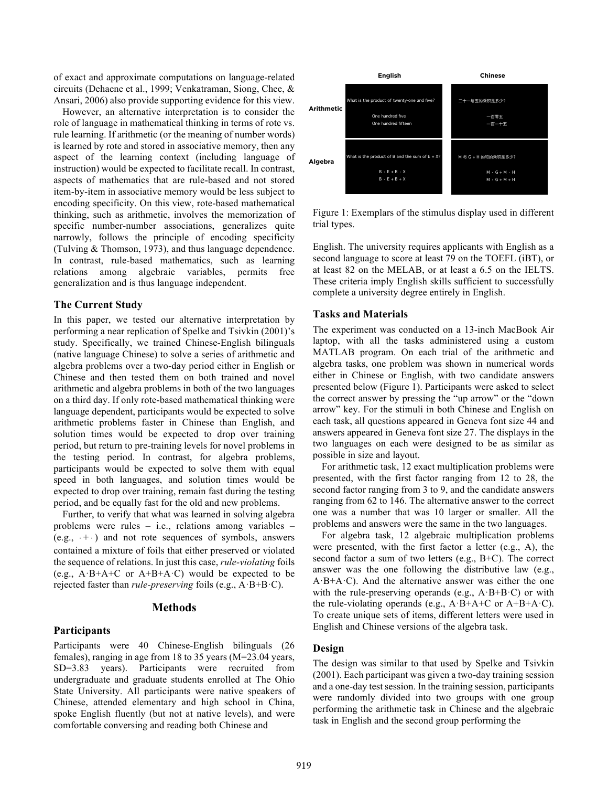of exact and approximate computations on language-related circuits (Dehaene et al., 1999; Venkatraman, Siong, Chee, & Ansari, 2006) also provide supporting evidence for this view.

However, an alternative interpretation is to consider the role of language in mathematical thinking in terms of rote vs. rule learning. If arithmetic (or the meaning of number words) is learned by rote and stored in associative memory, then any aspect of the learning context (including language of instruction) would be expected to facilitate recall. In contrast, aspects of mathematics that are rule-based and not stored item-by-item in associative memory would be less subject to encoding specificity. On this view, rote-based mathematical thinking, such as arithmetic, involves the memorization of specific number-number associations, generalizes quite narrowly, follows the principle of encoding specificity (Tulving & Thomson, 1973), and thus language dependence. In contrast, rule-based mathematics, such as learning relations among algebraic variables, permits free generalization and is thus language independent.

### **The Current Study**

In this paper, we tested our alternative interpretation by performing a near replication of Spelke and Tsivkin (2001)'s study. Specifically, we trained Chinese-English bilinguals (native language Chinese) to solve a series of arithmetic and algebra problems over a two-day period either in English or Chinese and then tested them on both trained and novel arithmetic and algebra problems in both of the two languages on a third day. If only rote-based mathematical thinking were language dependent, participants would be expected to solve arithmetic problems faster in Chinese than English, and solution times would be expected to drop over training period, but return to pre-training levels for novel problems in the testing period. In contrast, for algebra problems, participants would be expected to solve them with equal speed in both languages, and solution times would be expected to drop over training, remain fast during the testing period, and be equally fast for the old and new problems.

Further, to verify that what was learned in solving algebra problems were rules – i.e., relations among variables –  $(e.g., +.)$  and not rote sequences of symbols, answers contained a mixture of foils that either preserved or violated the sequence of relations. In just this case, *rule-violating* foils (e.g.,  $A \cdot B + A + C$  or  $A + B + A \cdot C$ ) would be expected to be rejected faster than *rule-preserving* foils (e.g., A·B+B·C).

### **Methods**

#### **Participants**

Participants were 40 Chinese-English bilinguals (26 females), ranging in age from 18 to 35 years (M=23.04 years, SD=3.83 years). Participants were recruited from undergraduate and graduate students enrolled at The Ohio State University. All participants were native speakers of Chinese, attended elementary and high school in China, spoke English fluently (but not at native levels), and were comfortable conversing and reading both Chinese and



Figure 1: Exemplars of the stimulus display used in different trial types.

English. The university requires applicants with English as a second language to score at least 79 on the TOEFL (iBT), or at least 82 on the MELAB, or at least a 6.5 on the IELTS. These criteria imply English skills sufficient to successfully complete a university degree entirely in English.

#### **Tasks and Materials**

The experiment was conducted on a 13-inch MacBook Air laptop, with all the tasks administered using a custom MATLAB program. On each trial of the arithmetic and algebra tasks, one problem was shown in numerical words either in Chinese or English, with two candidate answers presented below (Figure 1). Participants were asked to select the correct answer by pressing the "up arrow" or the "down arrow" key. For the stimuli in both Chinese and English on each task, all questions appeared in Geneva font size 44 and answers appeared in Geneva font size 27. The displays in the two languages on each were designed to be as similar as possible in size and layout.

For arithmetic task, 12 exact multiplication problems were presented, with the first factor ranging from 12 to 28, the second factor ranging from 3 to 9, and the candidate answers ranging from 62 to 146. The alternative answer to the correct one was a number that was 10 larger or smaller. All the problems and answers were the same in the two languages.

For algebra task, 12 algebraic multiplication problems were presented, with the first factor a letter (e.g., A), the second factor a sum of two letters (e.g., B+C). The correct answer was the one following the distributive law (e.g., A·B+A·C). And the alternative answer was either the one with the rule-preserving operands (e.g.,  $A \cdot B + B \cdot C$ ) or with the rule-violating operands (e.g.,  $A \cdot B + A + C$  or  $A + B + A \cdot C$ ). To create unique sets of items, different letters were used in English and Chinese versions of the algebra task.

### **Design**

The design was similar to that used by Spelke and Tsivkin (2001). Each participant was given a two-day training session and a one-day test session. In the training session, participants were randomly divided into two groups with one group performing the arithmetic task in Chinese and the algebraic task in English and the second group performing the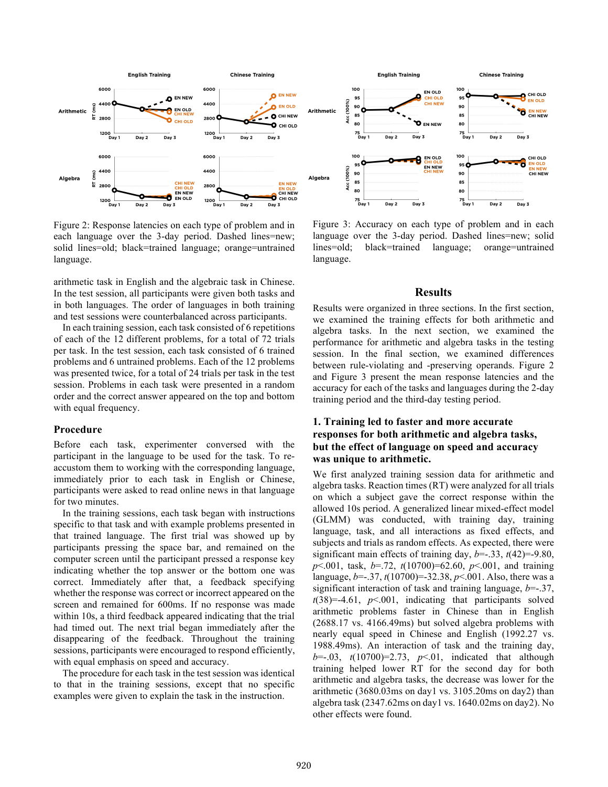

Figure 2: Response latencies on each type of problem and in each language over the 3-day period. Dashed lines=new; solid lines=old; black=trained language; orange=untrained language.

arithmetic task in English and the algebraic task in Chinese. In the test session, all participants were given both tasks and in both languages. The order of languages in both training and test sessions were counterbalanced across participants.

In each training session, each task consisted of 6 repetitions of each of the 12 different problems, for a total of 72 trials per task. In the test session, each task consisted of 6 trained problems and 6 untrained problems. Each of the 12 problems was presented twice, for a total of 24 trials per task in the test session. Problems in each task were presented in a random order and the correct answer appeared on the top and bottom with equal frequency.

### **Procedure**

Before each task, experimenter conversed with the participant in the language to be used for the task. To reaccustom them to working with the corresponding language, immediately prior to each task in English or Chinese, participants were asked to read online news in that language for two minutes.

In the training sessions, each task began with instructions specific to that task and with example problems presented in that trained language. The first trial was showed up by participants pressing the space bar, and remained on the computer screen until the participant pressed a response key indicating whether the top answer or the bottom one was correct. Immediately after that, a feedback specifying whether the response was correct or incorrect appeared on the screen and remained for 600ms. If no response was made within 10s, a third feedback appeared indicating that the trial had timed out. The next trial began immediately after the disappearing of the feedback. Throughout the training sessions, participants were encouraged to respond efficiently, with equal emphasis on speed and accuracy.

The procedure for each task in the test session was identical to that in the training sessions, except that no specific examples were given to explain the task in the instruction.

Figure 3: Accuracy on each type of problem and in each language over the 3-day period. Dashed lines=new; solid lines=old; black=trained language; orange=untrained language.

### **Results**

Results were organized in three sections. In the first section, we examined the training effects for both arithmetic and algebra tasks. In the next section, we examined the performance for arithmetic and algebra tasks in the testing session. In the final section, we examined differences between rule-violating and -preserving operands. Figure 2 and Figure 3 present the mean response latencies and the accuracy for each of the tasks and languages during the 2-day training period and the third-day testing period.

## **1. Training led to faster and more accurate responses for both arithmetic and algebra tasks, but the effect of language on speed and accuracy was unique to arithmetic.**

We first analyzed training session data for arithmetic and algebra tasks. Reaction times (RT) were analyzed for all trials on which a subject gave the correct response within the allowed 10s period. A generalized linear mixed-effect model (GLMM) was conducted, with training day, training language, task, and all interactions as fixed effects, and subjects and trials as random effects. As expected, there were significant main effects of training day,  $b=-.33$ ,  $t(42)=-9.80$ , *p*<.001, task, *b*=.72, *t*(10700)=62.60, *p*<.001, and training language, *b*=-.37, *t*(10700)=-32.38, *p*<.001. Also, there was a significant interaction of task and training language, *b*=-.37,  $t(38)=-4.61$ ,  $p<.001$ , indicating that participants solved arithmetic problems faster in Chinese than in English (2688.17 vs. 4166.49ms) but solved algebra problems with nearly equal speed in Chinese and English (1992.27 vs. 1988.49ms). An interaction of task and the training day, *b*=-.03, *t*(10700)=2.73, *p*<.01, indicated that although training helped lower RT for the second day for both arithmetic and algebra tasks, the decrease was lower for the arithmetic (3680.03ms on day1 vs. 3105.20ms on day2) than algebra task (2347.62ms on day1 vs. 1640.02ms on day2). No other effects were found.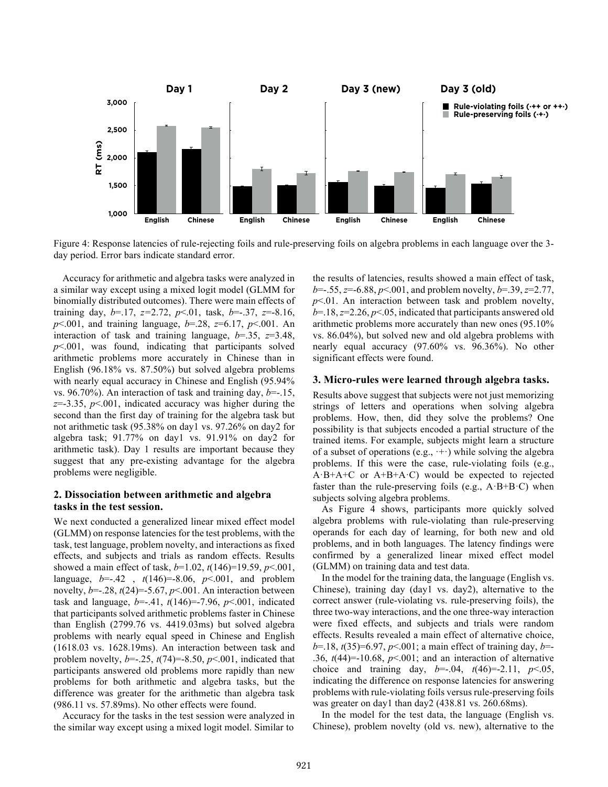

Figure 4: Response latencies of rule-rejecting foils and rule-preserving foils on algebra problems in each language over the 3 day period. Error bars indicate standard error.

Accuracy for arithmetic and algebra tasks were analyzed in a similar way except using a mixed logit model (GLMM for binomially distributed outcomes). There were main effects of training day, *b*=.17, *z=*2.72, *p*<.01, task, *b*=-.37, *z*=-8.16, *p*<.001, and training language, *b*=.28, *z*=6.17, *p*<.001. An interaction of task and training language, *b*=.35, *z*=3.48, *p*<.001, was found, indicating that participants solved arithmetic problems more accurately in Chinese than in English (96.18% vs. 87.50%) but solved algebra problems with nearly equal accuracy in Chinese and English (95.94% vs. 96.70%). An interaction of task and training day, *b*=-.15, *z*=-3.35, *p*<.001, indicated accuracy was higher during the second than the first day of training for the algebra task but not arithmetic task (95.38% on day1 vs. 97.26% on day2 for algebra task; 91.77% on day1 vs. 91.91% on day2 for arithmetic task). Day 1 results are important because they suggest that any pre-existing advantage for the algebra problems were negligible.

### **2. Dissociation between arithmetic and algebra tasks in the test session.**

We next conducted a generalized linear mixed effect model (GLMM) on response latencies for the test problems, with the task, test language, problem novelty, and interactions as fixed effects, and subjects and trials as random effects. Results showed a main effect of task, *b*=1.02, *t*(146)=19.59, *p*<.001, language,  $b=-.42$ ,  $t(146)=-8.06$ ,  $p<.001$ , and problem novelty,  $b=-.28$ ,  $t(24)=-5.67$ ,  $p<.001$ . An interaction between task and language, *b*=-.41, *t*(146)=-7.96, *p*<.001, indicated that participants solved arithmetic problems faster in Chinese than English (2799.76 vs. 4419.03ms) but solved algebra problems with nearly equal speed in Chinese and English (1618.03 vs. 1628.19ms). An interaction between task and problem novelty,  $b = -25$ ,  $t(74) = -8.50$ ,  $p < .001$ , indicated that participants answered old problems more rapidly than new problems for both arithmetic and algebra tasks, but the difference was greater for the arithmetic than algebra task (986.11 vs. 57.89ms). No other effects were found.

Accuracy for the tasks in the test session were analyzed in the similar way except using a mixed logit model. Similar to

the results of latencies, results showed a main effect of task, *b*=-.55, *z*=-6.88, *p*<.001, and problem novelty, *b*=.39, *z*=2.77, *p*<.01. An interaction between task and problem novelty, *b*=.18, *z*=2.26, *p*<.05, indicated that participants answered old arithmetic problems more accurately than new ones (95.10% vs. 86.04%), but solved new and old algebra problems with nearly equal accuracy (97.60% vs. 96.36%). No other significant effects were found.

### **3. Micro-rules were learned through algebra tasks.**

Results above suggest that subjects were not just memorizing strings of letters and operations when solving algebra problems. How, then, did they solve the problems? One possibility is that subjects encoded a partial structure of the trained items. For example, subjects might learn a structure of a subset of operations (e.g.,  $+$ ) while solving the algebra problems. If this were the case, rule-violating foils (e.g., A·B+A+C or A+B+A·C) would be expected to rejected faster than the rule-preserving foils (e.g.,  $A \cdot B + B \cdot C$ ) when subjects solving algebra problems.

As Figure 4 shows, participants more quickly solved algebra problems with rule-violating than rule-preserving operands for each day of learning, for both new and old problems, and in both languages. The latency findings were confirmed by a generalized linear mixed effect model (GLMM) on training data and test data.

In the model for the training data, the language (English vs. Chinese), training day (day1 vs. day2), alternative to the correct answer (rule-violating vs. rule-preserving foils), the three two-way interactions, and the one three-way interaction were fixed effects, and subjects and trials were random effects. Results revealed a main effect of alternative choice, *b*=.18, *t*(35)=6.97, *p*<.001; a main effect of training day, *b*=- .36,  $t(44)$ =-10.68,  $p<0.01$ ; and an interaction of alternative choice and training day,  $b=-.04$ ,  $t(46)=-2.11$ ,  $p<.05$ , indicating the difference on response latencies for answering problems with rule-violating foils versus rule-preserving foils was greater on day1 than day2 (438.81 vs. 260.68ms).

In the model for the test data, the language (English vs. Chinese), problem novelty (old vs. new), alternative to the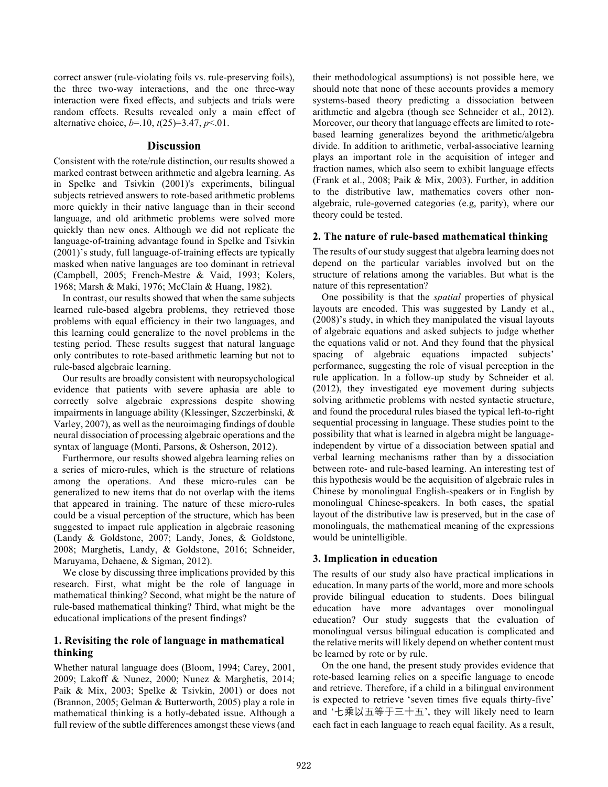correct answer (rule-violating foils vs. rule-preserving foils), the three two-way interactions, and the one three-way interaction were fixed effects, and subjects and trials were random effects. Results revealed only a main effect of alternative choice, *b*=.10, *t*(25)=3.47, *p*<.01.

### **Discussion**

Consistent with the rote/rule distinction, our results showed a marked contrast between arithmetic and algebra learning. As in Spelke and Tsivkin (2001)'s experiments, bilingual subjects retrieved answers to rote-based arithmetic problems more quickly in their native language than in their second language, and old arithmetic problems were solved more quickly than new ones. Although we did not replicate the language-of-training advantage found in Spelke and Tsivkin (2001)'s study, full language-of-training effects are typically masked when native languages are too dominant in retrieval (Campbell, 2005; French-Mestre & Vaid, 1993; Kolers, 1968; Marsh & Maki, 1976; McClain & Huang, 1982).

In contrast, our results showed that when the same subjects learned rule-based algebra problems, they retrieved those problems with equal efficiency in their two languages, and this learning could generalize to the novel problems in the testing period. These results suggest that natural language only contributes to rote-based arithmetic learning but not to rule-based algebraic learning.

Our results are broadly consistent with neuropsychological evidence that patients with severe aphasia are able to correctly solve algebraic expressions despite showing impairments in language ability (Klessinger, Szczerbinski, & Varley, 2007), as well as the neuroimaging findings of double neural dissociation of processing algebraic operations and the syntax of language (Monti, Parsons, & Osherson, 2012).

Furthermore, our results showed algebra learning relies on a series of micro-rules, which is the structure of relations among the operations. And these micro-rules can be generalized to new items that do not overlap with the items that appeared in training. The nature of these micro-rules could be a visual perception of the structure, which has been suggested to impact rule application in algebraic reasoning (Landy & Goldstone, 2007; Landy, Jones, & Goldstone, 2008; Marghetis, Landy, & Goldstone, 2016; Schneider, Maruyama, Dehaene, & Sigman, 2012).

We close by discussing three implications provided by this research. First, what might be the role of language in mathematical thinking? Second, what might be the nature of rule-based mathematical thinking? Third, what might be the educational implications of the present findings?

### **1. Revisiting the role of language in mathematical thinking**

Whether natural language does (Bloom, 1994; Carey, 2001, 2009; Lakoff & Nunez, 2000; Nunez & Marghetis, 2014; Paik & Mix, 2003; Spelke & Tsivkin, 2001) or does not (Brannon, 2005; Gelman & Butterworth, 2005) play a role in mathematical thinking is a hotly-debated issue. Although a full review of the subtle differences amongst these views (and their methodological assumptions) is not possible here, we should note that none of these accounts provides a memory systems-based theory predicting a dissociation between arithmetic and algebra (though see Schneider et al., 2012). Moreover, our theory that language effects are limited to rotebased learning generalizes beyond the arithmetic/algebra divide. In addition to arithmetic, verbal-associative learning plays an important role in the acquisition of integer and fraction names, which also seem to exhibit language effects (Frank et al., 2008; Paik & Mix, 2003). Further, in addition to the distributive law, mathematics covers other nonalgebraic, rule-governed categories (e.g, parity), where our theory could be tested.

### **2. The nature of rule-based mathematical thinking**

The results of our study suggest that algebra learning does not depend on the particular variables involved but on the structure of relations among the variables. But what is the nature of this representation?

One possibility is that the *spatial* properties of physical layouts are encoded. This was suggested by Landy et al., (2008)'s study, in which they manipulated the visual layouts of algebraic equations and asked subjects to judge whether the equations valid or not. And they found that the physical spacing of algebraic equations impacted subjects' performance, suggesting the role of visual perception in the rule application. In a follow-up study by Schneider et al. (2012), they investigated eye movement during subjects solving arithmetic problems with nested syntactic structure, and found the procedural rules biased the typical left-to-right sequential processing in language. These studies point to the possibility that what is learned in algebra might be languageindependent by virtue of a dissociation between spatial and verbal learning mechanisms rather than by a dissociation between rote- and rule-based learning. An interesting test of this hypothesis would be the acquisition of algebraic rules in Chinese by monolingual English-speakers or in English by monolingual Chinese-speakers. In both cases, the spatial layout of the distributive law is preserved, but in the case of monolinguals, the mathematical meaning of the expressions would be unintelligible.

### **3. Implication in education**

The results of our study also have practical implications in education. In many parts of the world, more and more schools provide bilingual education to students. Does bilingual education have more advantages over monolingual education? Our study suggests that the evaluation of monolingual versus bilingual education is complicated and the relative merits will likely depend on whether content must be learned by rote or by rule.

On the one hand, the present study provides evidence that rote-based learning relies on a specific language to encode and retrieve. Therefore, if a child in a bilingual environment is expected to retrieve 'seven times five equals thirty-five' and '七乘以五等于三十五', they will likely need to learn each fact in each language to reach equal facility. As a result,